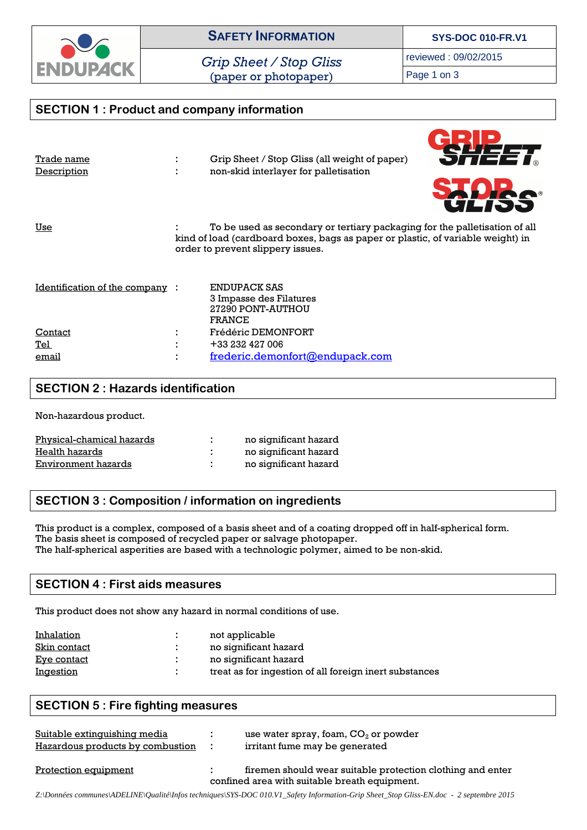

*Grip Sheet / Stop Gliss*  (paper or photopaper)

reviewed : 09/02/2015

Page 1 on 3

| <b>SECTION 1: Product and company information</b> |  |                                                                                                                                                                                                    |  |  |  |
|---------------------------------------------------|--|----------------------------------------------------------------------------------------------------------------------------------------------------------------------------------------------------|--|--|--|
| Trade name<br>Description                         |  | Grip Sheet / Stop Gliss (all weight of paper)<br>non-skid interlayer for palletisation<br><b>SDRe</b><br>ULIJJ                                                                                     |  |  |  |
| Use                                               |  | To be used as secondary or tertiary packaging for the palletisation of all<br>kind of load (cardboard boxes, bags as paper or plastic, of variable weight) in<br>order to prevent slippery issues. |  |  |  |
| <u>Identification of the company</u>              |  | ENDUPACK SAS<br>3 Impasse des Filatures<br>27290 PONT-AUTHOU<br><b>FRANCE</b>                                                                                                                      |  |  |  |
| Contact                                           |  | <b>Frédéric DEMONFORT</b>                                                                                                                                                                          |  |  |  |
| Tel                                               |  | +33 232 427 006                                                                                                                                                                                    |  |  |  |
| email                                             |  | frederic.demonfort@endupack.com                                                                                                                                                                    |  |  |  |

## **SECTION 2 : Hazards identification**

Non-hazardous product.

| Physical-chamical hazards | no significant hazard |
|---------------------------|-----------------------|
| Health hazards            | no significant hazard |
| Environment hazards       | no significant hazard |

### **SECTION 3 : Composition / information on ingredients**

This product is a complex, composed of a basis sheet and of a coating dropped off in half-spherical form. The basis sheet is composed of recycled paper or salvage photopaper. The half-spherical asperities are based with a technologic polymer, aimed to be non-skid.

### **SECTION 4 : First aids measures**

This product does not show any hazard in normal conditions of use.

| Inhalation         | not applicable                                         |
|--------------------|--------------------------------------------------------|
| Skin contact       | no significant hazard                                  |
| <u>Eye contact</u> | no significant hazard                                  |
| <u>Ingestion</u>   | treat as for ingestion of all foreign inert substances |

#### **SECTION 5 : Fire fighting measures**

| Suitable extinguishing media<br>Hazardous products by combustion | use water spray, foam, $CO2$ or powder<br>irritant fume may be generated                                    |
|------------------------------------------------------------------|-------------------------------------------------------------------------------------------------------------|
| <b>Protection equipment</b>                                      | firemen should wear suitable protection clothing and enter<br>confined area with suitable breath equipment. |

*Z:\Données communes\ADELINE\Qualité\Infos techniques\SYS-DOC 010.V1\_Safety Information-Grip Sheet\_Stop Gliss-EN.doc - 2 septembre 2015*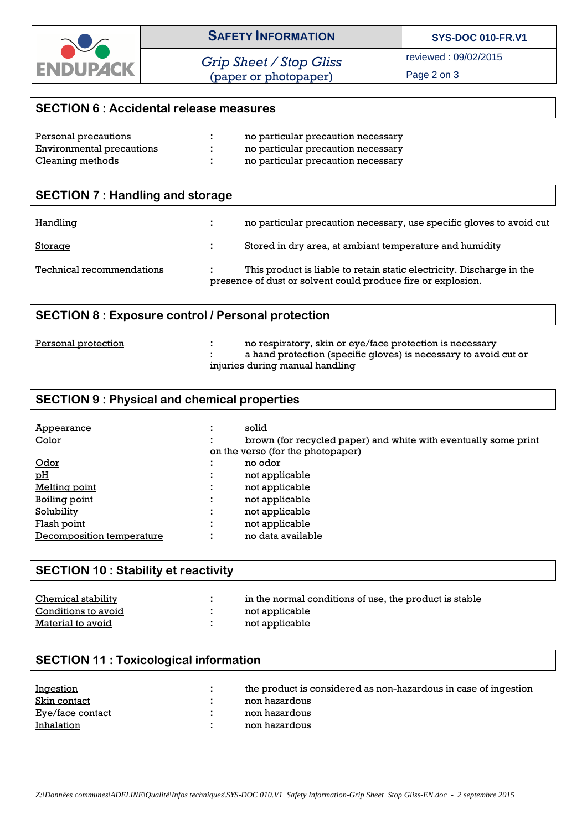

*Grip Sheet / Stop Gliss*  (paper or photopaper)

reviewed : 09/02/2015

Page 2 on 3

# **SECTION 6 : Accidental release measures**

| Personal precautions      | no particular precaution necessary |
|---------------------------|------------------------------------|
| Environmental precautions | no particular precaution necessary |
| Cleaning methods          | no particular precaution necessary |

| <b>SECTION 7: Handling and storage</b> |    |                                                                                                                                       |
|----------------------------------------|----|---------------------------------------------------------------------------------------------------------------------------------------|
| <b>Handling</b>                        | ÷. | no particular precaution necessary, use specific gloves to avoid cut                                                                  |
| <u>Storage</u>                         |    | Stored in dry area, at ambiant temperature and humidity                                                                               |
| Technical recommendations              |    | This product is liable to retain static electricity. Discharge in the<br>presence of dust or solvent could produce fire or explosion. |

# **SECTION 8 : Exposure control / Personal protection**

| Personal protection | no respiratory, skin or eye/face protection is necessary         |
|---------------------|------------------------------------------------------------------|
|                     | a hand protection (specific gloves) is necessary to avoid cut or |
|                     | injuries during manual handling                                  |

#### **SECTION 9 : Physical and chemical properties**

| Appearance                | $\blacksquare$                   | solid                                                           |
|---------------------------|----------------------------------|-----------------------------------------------------------------|
| Color                     |                                  | brown (for recycled paper) and white with eventually some print |
|                           |                                  | on the verso (for the photopaper)                               |
| <u>Odor</u>               |                                  | no odor                                                         |
| pH                        |                                  | not applicable                                                  |
| Melting point             | $\blacksquare$<br>$\blacksquare$ | not applicable                                                  |
| <u>Boiling point</u>      | $\blacksquare$                   | not applicable                                                  |
| <b>Solubility</b>         |                                  | not applicable                                                  |
| Flash point               | ٠<br>$\blacksquare$              | not applicable                                                  |
| Decomposition temperature | ٠                                | no data available                                               |

# **SECTION 10 : Stability et reactivity**

| <b>Chemical stability</b> | in the normal conditions of use, the product is stable |
|---------------------------|--------------------------------------------------------|
| Conditions to avoid       | not applicable                                         |
| Material to avoid         | not applicable                                         |

# **SECTION 11 : Toxicological information**

| <b>Ingestion</b> | the product is considered as non-hazardous in case of ingestion |
|------------------|-----------------------------------------------------------------|
| Skin contact     | non hazardous                                                   |
| Eve/face contact | non hazardous                                                   |
| Inhalation       | non hazardous                                                   |